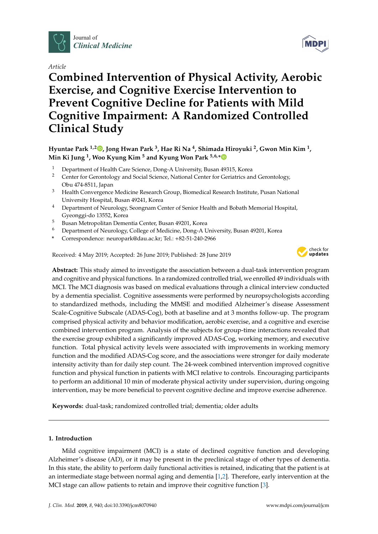

*Article*

# **Combined Intervention of Physical Activity, Aerobic Exercise, and Cognitive Exercise Intervention to Prevent Cognitive Decline for Patients with Mild Cognitive Impairment: A Randomized Controlled Clinical Study**

**Hyuntae Park 1,2 [,](https://orcid.org/0000-0002-1976-0005) Jong Hwan Park <sup>3</sup> , Hae Ri Na <sup>4</sup> , Shimada Hiroyuki <sup>2</sup> , Gwon Min Kim <sup>1</sup> , Min Ki Jung <sup>1</sup> , Woo Kyung Kim <sup>5</sup> and Kyung Won Park 5,6,[\\*](https://orcid.org/0000-0002-6788-5267)**

- <sup>1</sup> Department of Health Care Science, Dong-A University, Busan 49315, Korea
- <sup>2</sup> Center for Gerontology and Social Science, National Center for Geriatrics and Gerontology, Obu 474-8511, Japan
- <sup>3</sup> Health Convergence Medicine Research Group, Biomedical Research Institute, Pusan National University Hospital, Busan 49241, Korea
- <sup>4</sup> Department of Neurology, Seongnam Center of Senior Health and Bobath Memorial Hospital, Gyeonggi-do 13552, Korea
- <sup>5</sup> Busan Metropolitan Dementia Center, Busan 49201, Korea
- <sup>6</sup> Department of Neurology, College of Medicine, Dong-A University, Busan 49201, Korea
- **\*** Correspondence: neuropark@dau.ac.kr; Tel.: +82-51-240-2966

Received: 4 May 2019; Accepted: 26 June 2019; Published: 28 June 2019



**Abstract:** This study aimed to investigate the association between a dual-task intervention program and cognitive and physical functions. In a randomized controlled trial, we enrolled 49 individuals with MCI. The MCI diagnosis was based on medical evaluations through a clinical interview conducted by a dementia specialist. Cognitive assessments were performed by neuropsychologists according to standardized methods, including the MMSE and modified Alzheimer's disease Assessment Scale-Cognitive Subscale (ADAS-Cog), both at baseline and at 3 months follow-up. The program comprised physical activity and behavior modification, aerobic exercise, and a cognitive and exercise combined intervention program. Analysis of the subjects for group-time interactions revealed that the exercise group exhibited a significantly improved ADAS-Cog, working memory, and executive function. Total physical activity levels were associated with improvements in working memory function and the modified ADAS-Cog score, and the associations were stronger for daily moderate intensity activity than for daily step count. The 24-week combined intervention improved cognitive function and physical function in patients with MCI relative to controls. Encouraging participants to perform an additional 10 min of moderate physical activity under supervision, during ongoing intervention, may be more beneficial to prevent cognitive decline and improve exercise adherence.

**Keywords:** dual-task; randomized controlled trial; dementia; older adults

## **1. Introduction**

Mild cognitive impairment (MCI) is a state of declined cognitive function and developing Alzheimer's disease (AD), or it may be present in the preclinical stage of other types of dementia. In this state, the ability to perform daily functional activities is retained, indicating that the patient is at an intermediate stage between normal aging and dementia [\[1](#page-9-0)[,2\]](#page-9-1). Therefore, early intervention at the MCI stage can allow patients to retain and improve their cognitive function [\[3\]](#page-9-2).

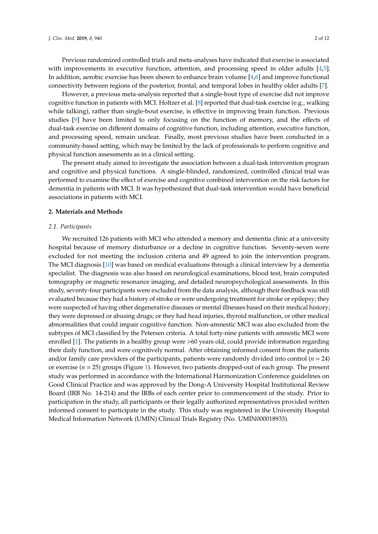Previous randomized controlled trials and meta-analyses have indicated that exercise is associated with improvements in executive function, attention, and processing speed in older adults [\[4,](#page-9-3)[5\]](#page-9-4). In addition, aerobic exercise has been shown to enhance brain volume [\[4,](#page-9-3)[6\]](#page-9-5) and improve functional connectivity between regions of the posterior, frontal, and temporal lobes in healthy older adults [\[7\]](#page-9-6).

However, a previous meta-analysis reported that a single-bout type of exercise did not improve cognitive function in patients with MCI. Holtzer et al. [\[8\]](#page-9-7) reported that dual-task exercise (e.g., walking while talking), rather than single-bout exercise, is effective in improving brain function. Previous studies [\[9\]](#page-9-8) have been limited to only focusing on the function of memory, and the effects of dual-task exercise on different domains of cognitive function, including attention, executive function, and processing speed, remain unclear. Finally, most previous studies have been conducted in a community-based setting, which may be limited by the lack of professionals to perform cognitive and physical function assessments as in a clinical setting.

The present study aimed to investigate the association between a dual-task intervention program and cognitive and physical functions. A single-blinded, randomized, controlled clinical trial was performed to examine the effect of exercise and cognitive combined intervention on the risk factors for dementia in patients with MCI. It was hypothesized that dual-task intervention would have beneficial associations in patients with MCI.

#### **2. Materials and Methods**

#### *2.1. Participants*

We recruited 126 patients with MCI who attended a memory and dementia clinic at a university hospital because of memory disturbance or a decline in cognitive function. Seventy-seven were excluded for not meeting the inclusion criteria and 49 agreed to join the intervention program. The MCI diagnosis [\[10\]](#page-9-9) was based on medical evaluations through a clinical interview by a dementia specialist. The diagnosis was also based on neurological examinations, blood test, brain computed tomography or magnetic resonance imaging, and detailed neuropsychological assessments. In this study, seventy-four participants were excluded from the data analysis, although their feedback was still evaluated because they had a history of stroke or were undergoing treatment for stroke or epilepsy; they were suspected of having other degenerative diseases or mental illnesses based on their medical history; they were depressed or abusing drugs; or they had head injuries, thyroid malfunction, or other medical abnormalities that could impair cognitive function. Non-amnestic MCI was also excluded from the subtypes of MCI classified by the Petersen criteria. A total forty-nine patients with amnestic MCI were enrolled [\[1\]](#page-9-0). The patients in a healthy group were >60 years old, could provide information regarding their daily function, and were cognitively normal. After obtaining informed consent from the patients and/or family care providers of the participants, patients were randomly divided into control  $(n = 24)$ or exercise (*n* = 25) groups (Figure [1\)](#page-2-0). However, two patients dropped-out of each group. The present study was performed in accordance with the International Harmonization Conference guidelines on Good Clinical Practice and was approved by the Dong-A University Hospital Institutional Review Board (IRB No. 14-214) and the IRBs of each center prior to commencement of the study. Prior to participation in the study, all participants or their legally authorized representatives provided written informed consent to participate in the study. This study was registered in the University Hospital Medical Information Network (UMIN) Clinical Trials Registry (No. UMIN000018933).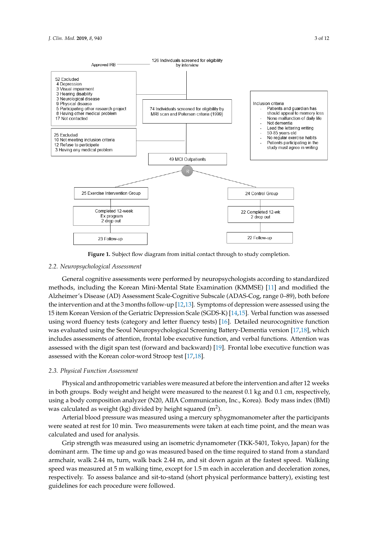<span id="page-2-0"></span>

**Figure 1.** Subject flow diagram from initial contact through to study completion.

# **Figure 1.** Subject flow diagram from initial contact through to study completion. *2.2. Neuropsychological Assessment*

General cognitive assessments were performed by neuropsychologists according to standardized Alzheimer's Disease (AD) Assessment Scale-Cognitive Subscale (ADAS-Cog, range 0–89), both before the intervention and at the 3 months follow-up [\[12,](#page-9-11)[13\]](#page-9-12). Symptoms of depression were assessed using the 15 item Korean Version of the Geriatric Depression Scale (SGDS-K) [\[14](#page-9-13)[,15\]](#page-9-14). Verbal function was assessed using word fluency tests (category and letter fluency tests) [\[16\]](#page-9-15). Detailed neurocognitive function was evaluated using the Seoul Neuropsychological Screening Battery-Dementia version [\[17](#page-10-0)[,18\]](#page-10-1), which includes assessments of attention, frontal lobe executive function, and verbal functions. Attention was assessed with the digit span test (forward and backward) [\[19\]](#page-10-2). Frontal lobe executive function was assessed with the Korean color-word Stroop test  $[17,18]$  $[17,18]$ .  $\mathbf{I}$  with the digital span test (for  $\mathbf{I}$ )  $\mathbf{I}$ methods, including the Korean Mini-Mental State Examination (KMMSE) [\[11\]](#page-9-10) and modified the

## 2.3. Physical Function Assessment

*Physical and anthropometric variables were measured at before the intervention and after 12 weeks* using a body composition analyzer (N20, AIIA Communication, Inc., Korea). Body mass index (BMI) was calculated as weight (kg) divided by height squared  $(m^2)$ . in both groups. Body weight and height were measured to the nearest 0.1 kg and 0.1 cm, respectively,

Arterial blood pressure was measured using a mercury sphygmomanometer after the participants were seated at rest for 10 min. Two measurements were taken at each time point, and the mean was calculated and used for analysis. The participants are participants of participants and participants of participants  $\overline{a}$ 

Grip strength was measured using an isometric dynamometer (TKK-5401, Tokyo, Japan) for the dominant arm. The time up and go was measured based on the time required to stand from a standard armchair, walk 2.44 m, turn, walk back 2.44 m, and sit down again at the fastest speed. Walking speed was measured at 5 m walking time, except for 1.5 m each in acceleration and deceleration zones, respectively. To assess balance and sit-to-stand (short physical performance battery), existing test guidelines for each procedure were followed.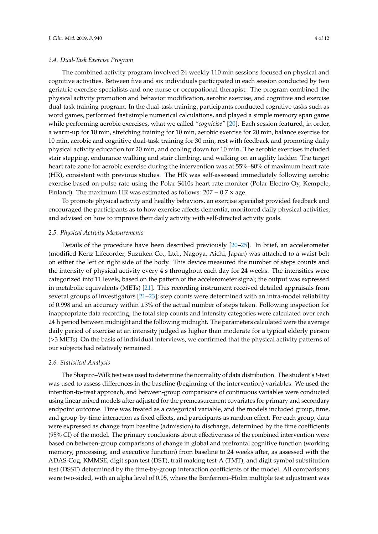The combined activity program involved 24 weekly 110 min sessions focused on physical and cognitive activities. Between five and six individuals participated in each session conducted by two geriatric exercise specialists and one nurse or occupational therapist. The program combined the physical activity promotion and behavior modification, aerobic exercise, and cognitive and exercise dual-task training program. In the dual-task training, participants conducted cognitive tasks such as word games, performed fast simple numerical calculations, and played a simple memory span game while performing aerobic exercises, what we called *"cognicise"* [\[20\]](#page-10-3). Each session featured, in order, a warm-up for 10 min, stretching training for 10 min, aerobic exercise for 20 min, balance exercise for 10 min, aerobic and cognitive dual-task training for 30 min, rest with feedback and promoting daily physical activity education for 20 min, and cooling down for 10 min. The aerobic exercises included stair stepping, endurance walking and stair climbing, and walking on an agility ladder. The target heart rate zone for aerobic exercise during the intervention was at 55%–80% of maximum heart rate (HR), consistent with previous studies. The HR was self-assessed immediately following aerobic exercise based on pulse rate using the Polar S410s heart rate monitor (Polar Electro Oy, Kempele, Finland). The maximum HR was estimated as follows:  $207 - 0.7 \times$  age.

To promote physical activity and healthy behaviors, an exercise specialist provided feedback and encouraged the participants as to how exercise affects dementia, monitored daily physical activities, and advised on how to improve their daily activity with self-directed activity goals.

#### *2.5. Physical Activity Measurements*

Details of the procedure have been described previously [\[20–](#page-10-3)[25\]](#page-10-4). In brief, an accelerometer (modified Kenz Lifecorder, Suzuken Co., Ltd., Nagoya, Aichi, Japan) was attached to a waist belt on either the left or right side of the body. This device measured the number of steps counts and the intensity of physical activity every 4 s throughout each day for 24 weeks. The intensities were categorized into 11 levels, based on the pattern of the accelerometer signal; the output was expressed in metabolic equivalents (METs) [\[21\]](#page-10-5). This recording instrument received detailed appraisals from several groups of investigators [\[21](#page-10-5)[–23\]](#page-10-6); step counts were determined with an intra-model reliability of 0.998 and an accuracy within ±3% of the actual number of steps taken. Following inspection for inappropriate data recording, the total step counts and intensity categories were calculated over each 24 h period between midnight and the following midnight. The parameters calculated were the average daily period of exercise at an intensity judged as higher than moderate for a typical elderly person (>3 METs). On the basis of individual interviews, we confirmed that the physical activity patterns of our subjects had relatively remained.

#### *2.6. Statistical Analysis*

The Shapiro–Wilk test was used to determine the normality of data distribution. The student's *t*-test was used to assess differences in the baseline (beginning of the intervention) variables. We used the intention-to-treat approach, and between-group comparisons of continuous variables were conducted using linear mixed models after adjusted for the premeasurement covariates for primary and secondary endpoint outcome. Time was treated as a categorical variable, and the models included group, time, and group-by-time interaction as fixed effects, and participants as random effect. For each group, data were expressed as change from baseline (admission) to discharge, determined by the time coefficients (95% CI) of the model. The primary conclusions about effectiveness of the combined intervention were based on between-group comparisons of change in global and prefrontal cognitive function (working memory, processing, and executive function) from baseline to 24 weeks after, as assessed with the ADAS-Cog, KMMSE, digit span test (DST), trail making test-A (TMT), and digit symbol substitution test (DSST) determined by the time-by-group interaction coefficients of the model. All comparisons were two-sided, with an alpha level of 0.05, where the Bonferroni–Holm multiple test adjustment was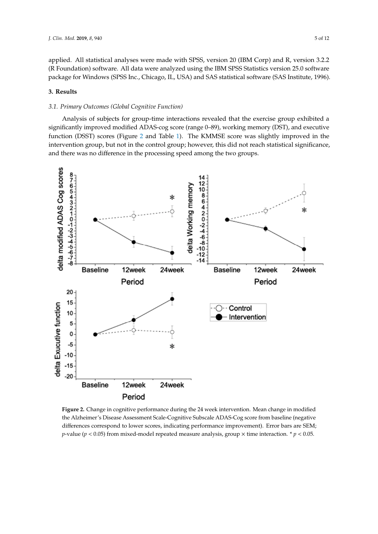applied. All statistical analyses were made with SPSS, version 20 (IBM Corp) and R, version 3.2.2 (R Foundation) software. All data were analyzed using the IBM SPSS Statistics version 25.0 software package for Windows (SPSS Inc., Chicago, IL, USA) and SAS statistical software (SAS Institute, 1996). Institute, 1996).

# **3. Results 3. Results**

# *3.1. Primary Outcomes (Global Cognitive Function) 3.1. Primary Outcomes (Global Cognitive Function)*

Analysis of subjects for group-time interactions revealed that the exercise group exhibited a significantly improved modified ADAS-cog score (range 0–89), working memory (DST), and executive significantly improved modified ADAS-cog score (range 0–89), working memory (DST), and executive function (DSST) scores (Figure [2](#page-4-0) and Table [1\)](#page-5-0). The KMMSE score was slightly improved in the function (DSST) scores (Figure 2 and Table 1). The KMMSE score was slightly improved in the intervention group, but not in the control group; however, this did not reach statistical significance, intervention group, but not in the control group; however, this did not reach statistical significance, and there was no difference in the processing speed among the two groups. and there was no difference in the processing speed among the two groups.

<span id="page-4-0"></span>

**Figure 2.** Change in cognitive performance during the 24 week intervention. Mean change in modified **Figure 2.** Change in cognitive performance during the 24 week intervention. Mean change in modified the Alzheimer's Disease Assessment Scale-Cognitive Subscale ADAS-Cog score from baseline (negative the Alzheimer's Disease Assessment Scale-Cognitive Subscale ADAS-Cog score from baseline (negative differences correspond to lower scores, indicating performance improvement). Error bars are SEM; *p*-value ( $p < 0.05$ ) from mixed-model repeated measure analysis, group  $\times$  time interaction. \*  $p < 0.05$ .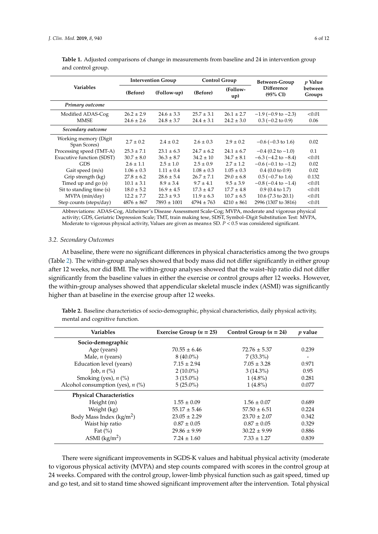| <b>Variables</b>                       | <b>Intervention Group</b> |                 | <b>Control Group</b> |                 | Between-Group                            | p Value           |
|----------------------------------------|---------------------------|-----------------|----------------------|-----------------|------------------------------------------|-------------------|
|                                        | (Before)                  | (Follow-up)     | (Before)             | (Follow-<br>up) | <b>Difference</b><br>$(95\% \text{ CI})$ | between<br>Groups |
| Primary outcome                        |                           |                 |                      |                 |                                          |                   |
| Modified ADAS-Cog                      | $26.2 \pm 2.9$            | $24.6 \pm 3.3$  | $25.7 \pm 3.1$       | $26.1 \pm 2.7$  | $-1.9$ (-0.9 to $-2.3$ )                 | < 0.01            |
| <b>MMSE</b>                            | $24.6 \pm 2.6$            | $24.8 \pm 3.7$  | $24.4 \pm 3.1$       | $24.2 \pm 3.0$  | $0.3$ (-0.2 to 0.9)                      | 0.06              |
| Secondary outcome                      |                           |                 |                      |                 |                                          |                   |
| Working memory (Digit)<br>Span Scores) | $2.7 \pm 0.2$             | $2.4 \pm 0.2$   | $2.6 \pm 0.3$        | $2.9 \pm 0.2$   | $-0.6$ ( $-0.3$ to 1.6)                  | 0.02              |
| Processing speed (TMT-A)               | $25.3 \pm 7.1$            | $23.1 \pm 6.3$  | $24.7 \pm 6.2$       | $24.1 \pm 6.7$  | $-0.4$ (0.2 to $-1.0$ )                  | 0.1               |
| Exucutive function (SDST)              | $30.7 \pm 8.0$            | $36.3 \pm 8.7$  | $34.2 \pm 10$        | $34.7 \pm 8.1$  | $-6.3$ ( $-4.2$ to $-8.4$ )              | < 0.01            |
| <b>GDS</b>                             | $2.6 \pm 1.1$             | $2.5 \pm 1.0$   | $2.5 \pm 0.9$        | $2.7 \pm 1.2$   | $-0.6$ ( $-0.1$ to $-1.2$ )              | 0.02              |
| Gait speed (m/s)                       | $1.06 \pm 0.3$            | $1.11 \pm 0.4$  | $1.08 \pm 0.3$       | $1.05 \pm 0.3$  | $0.4(0.0 \text{ to } 0.9)$               | 0.02              |
| Grip strength (kg)                     | $27.8 \pm 6.2$            | $28.6 \pm 5.4$  | $26.7 \pm 7.1$       | $29.0 \pm 6.8$  | $0.5$ (-0.7 to 1.6)                      | 0.132             |
| Timed up and $g_0$ (s)                 | $10.1 \pm 3.1$            | $8.9 \pm 3.4$   | $9.7 \pm 4.1$        | $9.5 \pm 3.9$   | $-0.8$ ( $-0.4$ to $-1.4$ )              | < 0.01            |
| Sit to standing time (s)               | $18.0 \pm 5.2$            | $16.9 \pm 4.5$  | $17.3 \pm 4.7$       | $17.7 \pm 4.8$  | $0.9(0.4 \text{ to } 1.7)$               | < 0.01            |
| MVPA (min/day)                         | $12.2 \pm 7.7$            | $22.3 \pm 9.3$  | $11.9 \pm 6.3$       | $10.7 \pm 6.5$  | $10.6$ (7.3 to 20.1)                     | < 0.01            |
| Step counts (steps/day)                | $4876 \pm 867$            | $7893 \pm 1001$ | $4794 + 763$         | $4210 \pm 861$  | 2996 (1307 to 3816)                      | < 0.01            |

<span id="page-5-0"></span>**Table 1.** Adjusted comparisons of change in measurements from baseline and 24 in intervention group and control group.

Abbreviations: ADAS-Cog, Alzheimer's Disease Assessment Scale-Cog; MVPA, moderate and vigorous physical activity; GDS, Geriatric Depression Scale; TMT, train making tese, SDST, Symbol–Digit Substitution Test: MVPA, Moderate to vigorous physical activity, Values are given as means± SD. *P* < 0.5 was considered significant.

#### *3.2. Secondary Outcomes*

At baseline, there were no significant differences in physical characteristics among the two groups (Table [2\)](#page-5-1). The within-group analyses showed that body mass did not differ significantly in either group after 12 weeks, nor did BMI. The within-group analyses showed that the waist–hip ratio did not differ significantly from the baseline values in either the exercise or control groups after 12 weeks. However, the within-group analyses showed that appendicular skeletal muscle index (ASMI) was significantly higher than at baseline in the exercise group after 12 weeks.

<span id="page-5-1"></span>**Table 2.** Baseline characteristics of socio-demographic, physical characteristics, daily physical activity, mental and cognitive function.

| <b>Variables</b>                    | Exercise Group ( $n = 25$ ) | Control Group $(n = 24)$ | $p$ value |
|-------------------------------------|-----------------------------|--------------------------|-----------|
| Socio-demographic                   |                             |                          |           |
| Age (years)                         | $70.55 \pm 6.46$            | $72.76 \pm 5.37$         | 0.239     |
| Male, $n$ (years)                   | $8(40.0\%)$                 | $7(33.3\%)$              |           |
| Education level (years)             | $7.15 \pm 2.94$             | $7.05 \pm 3.28$          | 0.971     |
| Job, $n$ $\left(\frac{9}{6}\right)$ | $2(10.0\%)$                 | $3(14.3\%)$              | 0.95      |
| Smoking (yes), $n$ (%)              | $3(15.0\%)$                 | $1(4.8\%)$               | 0.281     |
| Alcohol consumption (yes), $n$ (%)  | $5(25.0\%)$                 | $1(4.8\%)$               | 0.077     |
| <b>Physical Characteristics</b>     |                             |                          |           |
| Height $(m)$                        | $1.55 \pm 0.09$             | $1.56 \pm 0.07$          | 0.689     |
| Weight (kg)                         | $55.17 \pm 5.46$            | $57.50 \pm 6.51$         | 0.224     |
| Body Mass Index ( $\text{kg/m}^2$ ) | $23.05 \pm 2.29$            | $23.70 \pm 2.07$         | 0.342     |
| Waist hip ratio                     | $0.87 \pm 0.05$             | $0.87 \pm 0.05$          | 0.329     |
| Fat $(\% )$                         | $29.86 \pm 9.99$            | $30.22 \pm 9.99$         | 0.886     |
| ASMI $(kg/m2)$                      | $7.24 \pm 1.60$             | $7.33 \pm 1.27$          | 0.839     |

There were significant improvements in SGDS-K values and habitual physical activity (moderate to vigorous physical activity (MVPA) and step counts compared with scores in the control group at 24 weeks. Compared with the control group, lower-limb physical function such as gait speed, timed up and go test, and sit to stand time showed significant improvement after the intervention. Total physical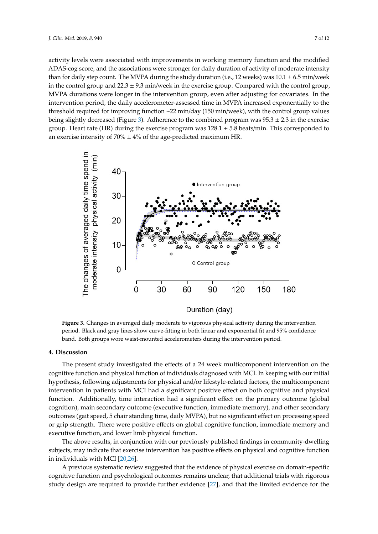activity levels were associated with improvements in working memory function and the modified ADAS-cog score, and the associations were stronger for daily duration of activity of moderate intensity than for daily step count. The MVPA during the study duration (i.e., 12 weeks) was  $10.1 \pm 6.5$  min/week in the control group and  $22.3 \pm 9.3$  min/week in the exercise group. Compared with the control group, MVPA durations were longer in the intervention group, even after adjusting for covariates. In the intervention period, the daily accelerometer-assessed time in MVPA increased exponentially to the threshold required for improving function  $\sim$ 22 min/day (150 min/week), with the control group values being slightly decreased (Figure [3\)](#page-6-0). Adherence to the combined program was  $95.3 \pm 2.3$  in the exercise group. Heart rate (HR) during the exercise program was  $128.1 \pm 5.8$  beats/min. This corresponded to an exercise intensity of  $70\% \pm 4\%$  of the age-predicted maximum HR.

<span id="page-6-0"></span>

band. Both groups wore waist-mounted accelerometers during the intervention period. **Figure 3.** Changes in averaged daily moderate to vigorous physical activity during the intervention period. Black and gray lines show curve-fitting in both linear and exponential fit and 95% confidence

#### period. Black and gray lines show curve-fitting in both linear and exponential fit and 95% confidence band. Both groups word waist-mounted accelerometers during the intervention period. The intervention period. The intervention period. The intervention period. The intervention period. The intervention period. The intervent **4. Discussion**

cognitive function and physical function of individuals diagnosed with MCI. In keeping with our initial hypothesis, following adjustments for physical and/or lifestyle-related factors, the multicomponent intervention in patients with MCI had a significant positive effect on both cognitive and physical function. Additionally, time interaction had a significant effect on the primary outcome (global cognition), main secondary outcome (executive function, immediate memory), and other secondary outcomes (gait speed, 5 chair standing time, daily MVPA), but no significant effect on processing speed The present study investigated the effects of a 24 week multicomponent intervention on the or grip strength. There were positive effects on global cognitive function, immediate memory and executive function, and lower limb physical function.

The above results, in conjunction with our previously published findings in community-dwelling subjects, may indicate that exercise intervention has positive effects on physical and cognitive function in individuals with MCI [\[20](#page-10-3)[,26\]](#page-10-7).

A previous systematic review suggested that the evidence of physical exercise on domain-specific cognitive function and psychological outcomes remains unclear, that additional trials with rigorous study design are required to provide further evidence [\[27\]](#page-10-8), and that the limited evidence for the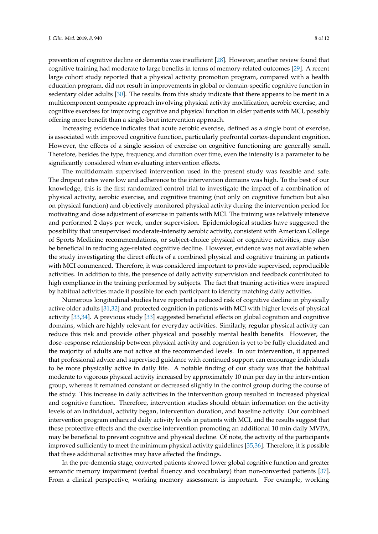prevention of cognitive decline or dementia was insufficient [\[28\]](#page-10-9). However, another review found that cognitive training had moderate to large benefits in terms of memory-related outcomes [\[29\]](#page-10-10). A recent large cohort study reported that a physical activity promotion program, compared with a health education program, did not result in improvements in global or domain-specific cognitive function in sedentary older adults [\[30\]](#page-10-11). The results from this study indicate that there appears to be merit in a multicomponent composite approach involving physical activity modification, aerobic exercise, and cognitive exercises for improving cognitive and physical function in older patients with MCI, possibly offering more benefit than a single-bout intervention approach.

Increasing evidence indicates that acute aerobic exercise, defined as a single bout of exercise, is associated with improved cognitive function, particularly prefrontal cortex-dependent cognition. However, the effects of a single session of exercise on cognitive functioning are generally small. Therefore, besides the type, frequency, and duration over time, even the intensity is a parameter to be significantly considered when evaluating intervention effects.

The multidomain supervised intervention used in the present study was feasible and safe. The dropout rates were low and adherence to the intervention domains was high. To the best of our knowledge, this is the first randomized control trial to investigate the impact of a combination of physical activity, aerobic exercise, and cognitive training (not only on cognitive function but also on physical function) and objectively monitored physical activity during the intervention period for motivating and dose adjustment of exercise in patients with MCI. The training was relatively intensive and performed 2 days per week, under supervision. Epidemiological studies have suggested the possibility that unsupervised moderate-intensity aerobic activity, consistent with American College of Sports Medicine recommendations, or subject-choice physical or cognitive activities, may also be beneficial in reducing age-related cognitive decline. However, evidence was not available when the study investigating the direct effects of a combined physical and cognitive training in patients with MCI commenced. Therefore, it was considered important to provide supervised, reproducible activities. In addition to this, the presence of daily activity supervision and feedback contributed to high compliance in the training performed by subjects. The fact that training activities were inspired by habitual activities made it possible for each participant to identify matching daily activities.

Numerous longitudinal studies have reported a reduced risk of cognitive decline in physically active older adults [\[31](#page-10-12)[,32\]](#page-10-13) and protected cognition in patients with MCI with higher levels of physical activity [\[33,](#page-10-14)[34\]](#page-10-15). A previous study [\[33\]](#page-10-14) suggested beneficial effects on global cognition and cognitive domains, which are highly relevant for everyday activities. Similarly, regular physical activity can reduce this risk and provide other physical and possibly mental health benefits. However, the dose–response relationship between physical activity and cognition is yet to be fully elucidated and the majority of adults are not active at the recommended levels. In our intervention, it appeared that professional advice and supervised guidance with continued support can encourage individuals to be more physically active in daily life. A notable finding of our study was that the habitual moderate to vigorous physical activity increased by approximately 10 min per day in the intervention group, whereas it remained constant or decreased slightly in the control group during the course of the study. This increase in daily activities in the intervention group resulted in increased physical and cognitive function. Therefore, intervention studies should obtain information on the activity levels of an individual, activity began, intervention duration, and baseline activity. Our combined intervention program enhanced daily activity levels in patients with MCI, and the results suggest that these protective effects and the exercise intervention promoting an additional 10 min daily MVPA, may be beneficial to prevent cognitive and physical decline. Of note, the activity of the participants improved sufficiently to meet the minimum physical activity guidelines [\[35,](#page-10-16)[36\]](#page-11-0). Therefore, it is possible that these additional activities may have affected the findings.

In the pre-dementia stage, converted patients showed lower global cognitive function and greater semantic memory impairment (verbal fluency and vocabulary) than non-converted patients [\[37\]](#page-11-1). From a clinical perspective, working memory assessment is important. For example, working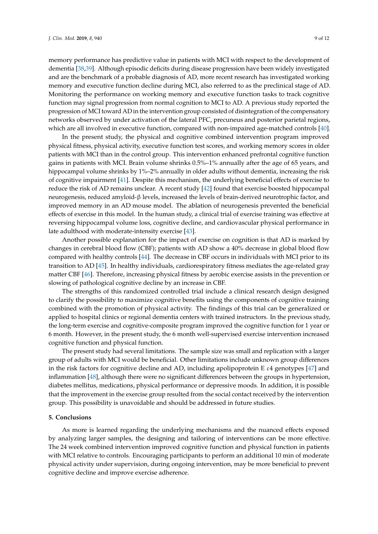memory performance has predictive value in patients with MCI with respect to the development of dementia [\[38,](#page-11-2)[39\]](#page-11-3). Although episodic deficits during disease progression have been widely investigated and are the benchmark of a probable diagnosis of AD, more recent research has investigated working memory and executive function decline during MCI, also referred to as the preclinical stage of AD. Monitoring the performance on working memory and executive function tasks to track cognitive function may signal progression from normal cognition to MCI to AD. A previous study reported the progression of MCI toward AD in the intervention group consisted of disintegration of the compensatory networks observed by under activation of the lateral PFC, precuneus and posterior parietal regions, which are all involved in executive function, compared with non-impaired age-matched controls [\[40\]](#page-11-4).

In the present study, the physical and cognitive combined intervention program improved physical fitness, physical activity, executive function test scores, and working memory scores in older patients with MCI than in the control group. This intervention enhanced prefrontal cognitive function gains in patients with MCI. Brain volume shrinks 0.5%–1% annually after the age of 65 years, and hippocampal volume shrinks by 1%–2% annually in older adults without dementia, increasing the risk of cognitive impairment [\[41\]](#page-11-5). Despite this mechanism, the underlying beneficial effects of exercise to reduce the risk of AD remains unclear. A recent study [\[42\]](#page-11-6) found that exercise boosted hippocampal neurogenesis, reduced amyloid-β levels, increased the levels of brain-derived neurotrophic factor, and improved memory in an AD mouse model. The ablation of neurogenesis prevented the beneficial effects of exercise in this model. In the human study, a clinical trial of exercise training was effective at reversing hippocampal volume loss, cognitive decline, and cardiovascular physical performance in late adulthood with moderate-intensity exercise [\[43\]](#page-11-7).

Another possible explanation for the impact of exercise on cognition is that AD is marked by changes in cerebral blood flow (CBF); patients with AD show a 40% decrease in global blood flow compared with healthy controls [\[44\]](#page-11-8). The decrease in CBF occurs in individuals with MCI prior to its transition to AD [\[45\]](#page-11-9). In healthy individuals, cardiorespiratory fitness mediates the age-related gray matter CBF [\[46\]](#page-11-10). Therefore, increasing physical fitness by aerobic exercise assists in the prevention or slowing of pathological cognitive decline by an increase in CBF.

The strengths of this randomized controlled trial include a clinical research design designed to clarify the possibility to maximize cognitive benefits using the components of cognitive training combined with the promotion of physical activity. The findings of this trial can be generalized or applied to hospital clinics or regional dementia centers with trained instructors. In the previous study, the long-term exercise and cognitive-composite program improved the cognitive function for 1 year or 6 month. However, in the present study, the 6 month well-supervised exercise intervention increased cognitive function and physical function.

The present study had several limitations. The sample size was small and replication with a larger group of adults with MCI would be beneficial. Other limitations include unknown group differences in the risk factors for cognitive decline and AD, including apolipoprotein E  $\varepsilon$ 4 genotypes [\[47\]](#page-11-11) and inflammation [\[48\]](#page-11-12), although there were no significant differences between the groups in hypertension, diabetes mellitus, medications, physical performance or depressive moods. In addition, it is possible that the improvement in the exercise group resulted from the social contact received by the intervention group. This possibility is unavoidable and should be addressed in future studies.

#### **5. Conclusions**

As more is learned regarding the underlying mechanisms and the nuanced effects exposed by analyzing larger samples, the designing and tailoring of interventions can be more effective. The 24 week combined intervention improved cognitive function and physical function in patients with MCI relative to controls. Encouraging participants to perform an additional 10 min of moderate physical activity under supervision, during ongoing intervention, may be more beneficial to prevent cognitive decline and improve exercise adherence.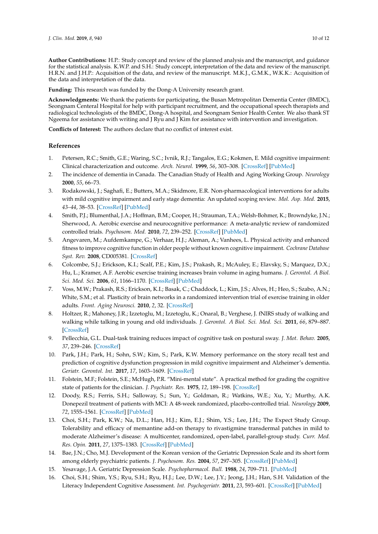**Author Contributions:** H.P.: Study concept and review of the planned analysis and the manuscript, and guidance for the statistical analysis. K.W.P. and S.H.: Study concept, interpretation of the data and review of the manuscript. H.R.N. and J.H.P.: Acquisition of the data, and review of the manuscript. M.K.J., G.M.K., W.K.K.: Acquisition of the data and interpretation of the data.

**Funding:** This research was funded by the Dong-A University research grant.

**Acknowledgments:** We thank the patients for participating, the Busan Metropolitan Dementia Center (BMDC), Seongnam Centeral Hospital for help with participant recruitment, and the occupational speech therapists and radiological technologists of the BMDC, Dong-A hospital, and Seongnam Senior Health Center. We also thank ST Ngeema for assistance with writing and J Ryu and J Kim for assistance with intervention and investigation.

**Conflicts of Interest:** The authors declare that no conflict of interest exist.

#### **References**

- <span id="page-9-0"></span>1. Petersen, R.C.; Smith, G.E.; Waring, S.C.; Ivnik, R.J.; Tangalos, E.G.; Kokmen, E. Mild cognitive impairment: Clinical characterization and outcome. *Arch. Neurol.* **1999**, *56*, 303–308. [\[CrossRef\]](http://dx.doi.org/10.1001/archneur.56.3.303) [\[PubMed\]](http://www.ncbi.nlm.nih.gov/pubmed/10190820)
- <span id="page-9-1"></span>2. The incidence of dementia in Canada. The Canadian Study of Health and Aging Working Group. *Neurology* **2000**, *55*, 66–73.
- <span id="page-9-2"></span>3. Rodakowski, J.; Saghafi, E.; Butters, M.A.; Skidmore, E.R. Non-pharmacological interventions for adults with mild cognitive impairment and early stage dementia: An updated scoping review. *Mol. Asp. Med.* **2015**, *43–44*, 38–53. [\[CrossRef\]](http://dx.doi.org/10.1016/j.mam.2015.06.003) [\[PubMed\]](http://www.ncbi.nlm.nih.gov/pubmed/26070444)
- <span id="page-9-3"></span>4. Smith, P.J.; Blumenthal, J.A.; Hoffman, B.M.; Cooper, H.; Strauman, T.A.; Welsh-Bohmer, K.; Browndyke, J.N.; Sherwood, A. Aerobic exercise and neurocognitive performance: A meta-analytic review of randomized controlled trials. *Psychosom. Med.* **2010**, *72*, 239–252. [\[CrossRef\]](http://dx.doi.org/10.1097/PSY.0b013e3181d14633) [\[PubMed\]](http://www.ncbi.nlm.nih.gov/pubmed/20223924)
- <span id="page-9-4"></span>5. Angevaren, M.; Aufdemkampe, G.; Verhaar, H.J.; Aleman, A.; Vanhees, L. Physical activity and enhanced fitness to improve cognitive function in older people without known cognitive impairment. *Cochrane Database Syst. Rev.* **2008**, CD005381. [\[CrossRef\]](http://dx.doi.org/10.1002/14651858.CD005381.pub2)
- <span id="page-9-5"></span>6. Colcombe, S.J.; Erickson, K.I.; Scalf, P.E.; Kim, J.S.; Prakash, R.; McAuley, E.; Elavsky, S.; Marquez, D.X.; Hu, L.; Kramer, A.F. Aerobic exercise training increases brain volume in aging humans. *J. Gerontol. A Biol. Sci. Med. Sci.* **2006**, *61*, 1166–1170. [\[CrossRef\]](http://dx.doi.org/10.1093/gerona/61.11.1166) [\[PubMed\]](http://www.ncbi.nlm.nih.gov/pubmed/17167157)
- <span id="page-9-6"></span>7. Voss, M.W.; Prakash, R.S.; Erickson, K.I.; Basak, C.; Chaddock, L.; Kim, J.S.; Alves, H.; Heo, S.; Szabo, A.N.; White, S.M.; et al. Plasticity of brain networks in a randomized intervention trial of exercise training in older adults. *Front. Aging Neurosci.* **2010**, *2*, 32. [\[CrossRef\]](http://dx.doi.org/10.3389/fnagi.2010.00032)
- <span id="page-9-7"></span>8. Holtzer, R.; Mahoney, J.R.; Izzetoglu, M.; Izzetoglu, K.; Onaral, B.; Verghese, J. fNIRS study of walking and walking while talking in young and old individuals. *J. Gerontol. A Biol. Sci. Med. Sci.* **2011**, *66*, 879–887. [\[CrossRef\]](http://dx.doi.org/10.1093/gerona/glr068)
- <span id="page-9-8"></span>9. Pellecchia, G.L. Dual-task training reduces impact of cognitive task on postural sway. *J. Mot. Behav.* **2005**, *37*, 239–246. [\[CrossRef\]](http://dx.doi.org/10.3200/JMBR.37.3.239-246)
- <span id="page-9-9"></span>10. Park, J.H.; Park, H.; Sohn, S.W.; Kim, S.; Park, K.W. Memory performance on the story recall test and prediction of cognitive dysfunction progression in mild cognitive impairment and Alzheimer's dementia. *Geriatr. Gerontol. Int.* **2017**, *17*, 1603–1609. [\[CrossRef\]](http://dx.doi.org/10.1111/ggi.12940)
- <span id="page-9-10"></span>11. Folstein, M.F.; Folstein, S.E.; McHugh, P.R. "Mini-mental state". A practical method for grading the cognitive state of patients for the clinician. *J. Psychiatr. Res.* **1975**, *12*, 189–198. [\[CrossRef\]](http://dx.doi.org/10.1016/0022-3956(75)90026-6)
- <span id="page-9-11"></span>12. Doody, R.S.; Ferris, S.H.; Salloway, S.; Sun, Y.; Goldman, R.; Watkins, W.E.; Xu, Y.; Murthy, A.K. Donepezil treatment of patients with MCI: A 48-week randomized, placebo-controlled trial. *Neurology* **2009**, *72*, 1555–1561. [\[CrossRef\]](http://dx.doi.org/10.1212/01.wnl.0000344650.95823.03) [\[PubMed\]](http://www.ncbi.nlm.nih.gov/pubmed/19176895)
- <span id="page-9-12"></span>13. Choi, S.H.; Park, K.W.; Na, D.L.; Han, H.J.; Kim, E.J.; Shim, Y.S.; Lee, J.H.; The Expect Study Group. Tolerability and efficacy of memantine add-on therapy to rivastigmine transdermal patches in mild to moderate Alzheimer's disease: A multicenter, randomized, open-label, parallel-group study. *Curr. Med. Res. Opin.* **2011**, *27*, 1375–1383. [\[CrossRef\]](http://dx.doi.org/10.1185/03007995.2011.582484) [\[PubMed\]](http://www.ncbi.nlm.nih.gov/pubmed/21561398)
- <span id="page-9-13"></span>14. Bae, J.N.; Cho, M.J. Development of the Korean version of the Geriatric Depression Scale and its short form among elderly psychiatric patients. *J. Psychosom. Res.* **2004**, *57*, 297–305. [\[CrossRef\]](http://dx.doi.org/10.1016/j.jpsychores.2004.01.004) [\[PubMed\]](http://www.ncbi.nlm.nih.gov/pubmed/15507257)
- <span id="page-9-14"></span>15. Yesavage, J.A. Geriatric Depression Scale. *Psychopharmacol. Bull.* **1988**, *24*, 709–711. [\[PubMed\]](http://www.ncbi.nlm.nih.gov/pubmed/3249773)
- <span id="page-9-15"></span>16. Choi, S.H.; Shim, Y.S.; Ryu, S.H.; Ryu, H.J.; Lee, D.W.; Lee, J.Y.; Jeong, J.H.; Han, S.H. Validation of the Literacy Independent Cognitive Assessment. *Int. Psychogeriatr.* **2011**, *23*, 593–601. [\[CrossRef\]](http://dx.doi.org/10.1017/S1041610210001626) [\[PubMed\]](http://www.ncbi.nlm.nih.gov/pubmed/20843392)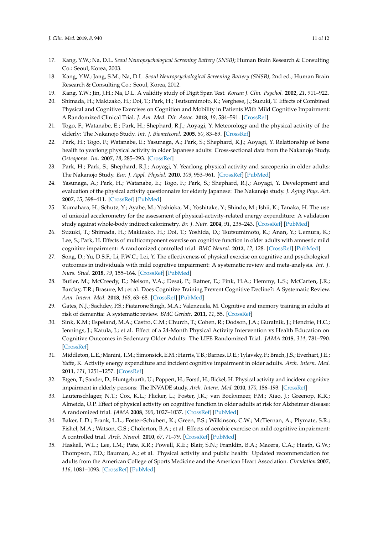- <span id="page-10-0"></span>17. Kang, Y.W.; Na, D.L. *Seoul Neuropsychological Screening Battery (SNSB)*; Human Brain Research & Consulting Co.: Seoul, Korea, 2003.
- <span id="page-10-1"></span>18. Kang, Y.W.; Jang, S.M.; Na, D.L. *Seoul Neuropsychological Screening Battery (SNSB)*, 2nd ed.; Human Brain Research & Consulting Co.: Seoul, Korea, 2012.
- <span id="page-10-2"></span>19. Kang, Y.W.; Jin, J.H.; Na, D.L. A validity study of Digit Span Test. *Korean J. Clin. Psychol.* **2002**, *21*, 911–922.
- <span id="page-10-3"></span>20. Shimada, H.; Makizako, H.; Doi, T.; Park, H.; Tsutsumimoto, K.; Verghese, J.; Suzuki, T. Effects of Combined Physical and Cognitive Exercises on Cognition and Mobility in Patients With Mild Cognitive Impairment: A Randomized Clinical Trial. *J. Am. Med. Dir. Assoc.* **2018**, *19*, 584–591. [\[CrossRef\]](http://dx.doi.org/10.1016/j.jamda.2017.09.019)
- <span id="page-10-5"></span>21. Togo, F.; Watanabe, E.; Park, H.; Shephard, R.J.; Aoyagi, Y. Meteorology and the physical activity of the elderly: The Nakanojo Study. *Int. J. Biometeorol.* **2005**, *50*, 83–89. [\[CrossRef\]](http://dx.doi.org/10.1007/s00484-005-0277-z)
- 22. Park, H.; Togo, F.; Watanabe, E.; Yasunaga, A.; Park, S.; Shephard, R.J.; Aoyagi, Y. Relationship of bone health to yearlong physical activity in older Japanese adults: Cross-sectional data from the Nakanojo Study. *Osteoporos. Int.* **2007**, *18*, 285–293. [\[CrossRef\]](http://dx.doi.org/10.1007/s00198-006-0237-4)
- <span id="page-10-6"></span>23. Park, H.; Park, S.; Shephard, R.J.; Aoyagi, Y. Yearlong physical activity and sarcopenia in older adults: The Nakanojo Study. *Eur. J. Appl. Physiol.* **2010**, *109*, 953–961. [\[CrossRef\]](http://dx.doi.org/10.1007/s00421-010-1424-8) [\[PubMed\]](http://www.ncbi.nlm.nih.gov/pubmed/20336310)
- 24. Yasunaga, A.; Park, H.; Watanabe, E.; Togo, F.; Park, S.; Shephard, R.J.; Aoyagi, Y. Development and evaluation of the physical activity questionnaire for elderly Japanese: The Nakanojo study. *J. Aging Phys. Act.* **2007**, *15*, 398–411. [\[CrossRef\]](http://dx.doi.org/10.1123/japa.15.4.398) [\[PubMed\]](http://www.ncbi.nlm.nih.gov/pubmed/18048944)
- <span id="page-10-4"></span>25. Kumahara, H.; Schutz, Y.; Ayabe, M.; Yoshioka, M.; Yoshitake, Y.; Shindo, M.; Ishii, K.; Tanaka, H. The use of uniaxial accelerometry for the assessment of physical-activity-related energy expenditure: A validation study against whole-body indirect calorimetry. *Br. J. Nutr.* **2004**, *91*, 235–243. [\[CrossRef\]](http://dx.doi.org/10.1079/BJN20031033) [\[PubMed\]](http://www.ncbi.nlm.nih.gov/pubmed/14756909)
- <span id="page-10-7"></span>26. Suzuki, T.; Shimada, H.; Makizako, H.; Doi, T.; Yoshida, D.; Tsutsumimoto, K.; Anan, Y.; Uemura, K.; Lee, S.; Park, H. Effects of multicomponent exercise on cognitive function in older adults with amnestic mild cognitive impairment: A randomized controlled trial. *BMC Neurol.* **2012**, *12*, 128. [\[CrossRef\]](http://dx.doi.org/10.1186/1471-2377-12-128) [\[PubMed\]](http://www.ncbi.nlm.nih.gov/pubmed/23113898)
- <span id="page-10-8"></span>27. Song, D.; Yu, D.S.F.; Li, P.W.C.; Lei, Y. The effectiveness of physical exercise on cognitive and psychological outcomes in individuals with mild cognitive impairment: A systematic review and meta-analysis. *Int. J. Nurs. Stud.* **2018**, *79*, 155–164. [\[CrossRef\]](http://dx.doi.org/10.1016/j.ijnurstu.2018.01.002) [\[PubMed\]](http://www.ncbi.nlm.nih.gov/pubmed/29334638)
- <span id="page-10-9"></span>28. Butler, M.; McCreedy, E.; Nelson, V.A.; Desai, P.; Ratner, E.; Fink, H.A.; Hemmy, L.S.; McCarten, J.R.; Barclay, T.R.; Brasure, M.; et al. Does Cognitive Training Prevent Cognitive Decline?: A Systematic Review. *Ann. Intern. Med.* **2018**, *168*, 63–68. [\[CrossRef\]](http://dx.doi.org/10.7326/M17-1531) [\[PubMed\]](http://www.ncbi.nlm.nih.gov/pubmed/29255842)
- <span id="page-10-10"></span>29. Gates, N.J.; Sachdev, P.S.; Fiatarone Singh, M.A.; Valenzuela, M. Cognitive and memory training in adults at risk of dementia: A systematic review. *BMC Geriatr.* **2011**, *11*, 55. [\[CrossRef\]](http://dx.doi.org/10.1186/1471-2318-11-55)
- <span id="page-10-11"></span>30. Sink, K.M.; Espeland, M.A.; Castro, C.M.; Church, T.; Cohen, R.; Dodson, J.A.; Guralnik, J.; Hendrie, H.C.; Jennings, J.; Katula, J.; et al. Effect of a 24-Month Physical Activity Intervention vs Health Education on Cognitive Outcomes in Sedentary Older Adults: The LIFE Randomized Trial. *JAMA* **2015**, *314*, 781–790. [\[CrossRef\]](http://dx.doi.org/10.1001/jama.2015.9617)
- <span id="page-10-12"></span>31. Middleton, L.E.; Manini, T.M.; Simonsick, E.M.; Harris, T.B.; Barnes, D.E.; Tylavsky, F.; Brach, J.S.; Everhart, J.E.; Yaffe, K. Activity energy expenditure and incident cognitive impairment in older adults. *Arch. Intern. Med.* **2011**, *171*, 1251–1257. [\[CrossRef\]](http://dx.doi.org/10.1001/archinternmed.2011.277)
- <span id="page-10-13"></span>32. Etgen, T.; Sander, D.; Huntgeburth, U.; Poppert, H.; Forstl, H.; Bickel, H. Physical activity and incident cognitive impairment in elderly persons: The INVADE study. *Arch. Intern. Med.* **2010**, *170*, 186–193. [\[CrossRef\]](http://dx.doi.org/10.1001/archinternmed.2009.498)
- <span id="page-10-14"></span>33. Lautenschlager, N.T.; Cox, K.L.; Flicker, L.; Foster, J.K.; van Bockxmeer, F.M.; Xiao, J.; Greenop, K.R.; Almeida, O.P. Effect of physical activity on cognitive function in older adults at risk for Alzheimer disease: A randomized trial. *JAMA* **2008**, *300*, 1027–1037. [\[CrossRef\]](http://dx.doi.org/10.1001/jama.300.9.1027) [\[PubMed\]](http://www.ncbi.nlm.nih.gov/pubmed/18768414)
- <span id="page-10-15"></span>34. Baker, L.D.; Frank, L.L.; Foster-Schubert, K.; Green, P.S.; Wilkinson, C.W.; McTiernan, A.; Plymate, S.R.; Fishel, M.A.; Watson, G.S.; Cholerton, B.A.; et al. Effects of aerobic exercise on mild cognitive impairment: A controlled trial. *Arch. Neurol.* **2010**, *67*, 71–79. [\[CrossRef\]](http://dx.doi.org/10.1001/archneurol.2009.307) [\[PubMed\]](http://www.ncbi.nlm.nih.gov/pubmed/20065132)
- <span id="page-10-16"></span>35. Haskell, W.L.; Lee, I.M.; Pate, R.R.; Powell, K.E.; Blair, S.N.; Franklin, B.A.; Macera, C.A.; Heath, G.W.; Thompson, P.D.; Bauman, A.; et al. Physical activity and public health: Updated recommendation for adults from the American College of Sports Medicine and the American Heart Association. *Circulation* **2007**, *116*, 1081–1093. [\[CrossRef\]](http://dx.doi.org/10.1249/mss.0b013e3180616b27) [\[PubMed\]](http://www.ncbi.nlm.nih.gov/pubmed/17762377)